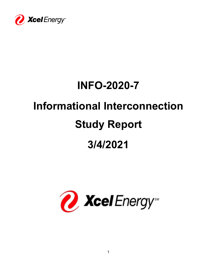

# **INFO-2020-7**

# **Informational Interconnection**

# **Study Report**

# **3/4/2021**

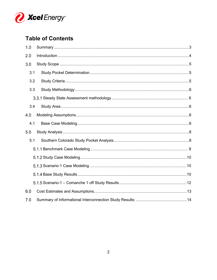

# **Table of Contents**

| 1.0 |  |
|-----|--|
| 2.0 |  |
| 3.0 |  |
| 3.1 |  |
| 3.2 |  |
| 3.3 |  |
|     |  |
| 3.4 |  |
| 4.0 |  |
| 4.1 |  |
| 5.0 |  |
| 5.1 |  |
|     |  |
|     |  |
|     |  |
|     |  |
|     |  |
| 6.0 |  |
| 7.0 |  |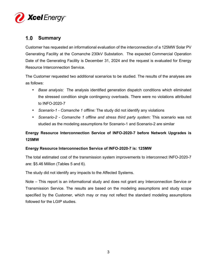

## **Summary**

Customer has requested an informational evaluation of the interconnection of a 125MW Solar PV Generating Facility at the Comanche 230kV Substation. The expected Commercial Operation Date of the Generating Facility is December 31, 2024 and the request is evaluated for Energy Resource Interconnection Service.

The Customer requested two additional scenarios to be studied. The results of the analyses are as follows:

- *Base analysis:* The analysis identified generation dispatch conditions which eliminated the stressed condition single contingency overloads. There were no violations attributed to INFO-2020-7
- *Scenario-1 Comanche 1 offline:* The study did not identify any violations
- *Scenario-2 Comanche 1 offline and stress third party system:* This scenario was not studied as the modeling assumptions for Scenario-1 and Scenario-2 are similar

## **Energy Resource Interconnection Service of INFO-2020-7 before Network Upgrades is 125MW**

### **Energy Resource Interconnection Service of INFO-2020-7 is: 125MW**

The total estimated cost of the transmission system improvements to interconnect INFO-2020-7 are: \$5.46 Million (Tables 5 and 6).

The study did not identify any impacts to the Affected Systems.

Note – This report is an informational study and does not grant any Interconnection Service or Transmission Service. The results are based on the modeling assumptions and study scope specified by the Customer, which may or may not reflect the standard modeling assumptions followed for the LGIP studies.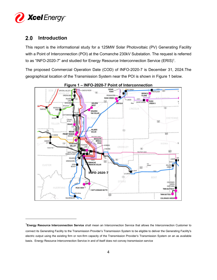

## **2.0 Introduction**

This report is the informational study for a 125MW Solar Photovoltaic (PV) Generating Facility with a Point of Interconnection (POI) at the Comanche 230kV Substation. The request is referred to as "INFO-2020-7" and studied for Energy Resource Interconnection Service  $(ERIS)^1$ .

The proposed Commercial Operation Date (COD) of INFO-2020-7 is December 31, 2024.The geographical location of the Transmission System near the POI is shown in Figure 1 below.



**Figure 1 – INFO-2020-7 Point of Interconnection** 

<sup>1</sup>**Energy Resource Interconnection Service** shall mean an Interconnection Service that allows the Interconnection Customer to connect its Generating Facility to the Transmission Provider's Transmission System to be eligible to deliver the Generating Facility's electric output using the existing firm or non-firm capacity of the Transmission Provider's Transmission System on an as available basis. Energy Resource Interconnection Service in and of itself does not convey transmission service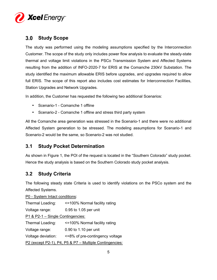

## **Study Scope**

The study was performed using the modeling assumptions specified by the Interconnection Customer. The scope of the study only includes power flow analysis to evaluate the steady-state thermal and voltage limit violations in the PSCo Transmission System and Affected Systems resulting from the addition of INFO-2020-7 for ERIS at the Comanche 230kV Substation. The study identified the maximum allowable ERIS before upgrades, and upgrades required to allow full ERIS. The scope of this report also includes cost estimates for Interconnection Facilities, Station Upgrades and Network Upgrades.

In addition, the Customer has requested the following two additional Scenarios:

- Scenario-1 Comanche 1 offline
- Scenario-2 Comanche 1 offline and stress third party system

All the Comanche area generation was stressed in the Scenario-1 and there were no additional Affected System generation to be stressed. The modeling assumptions for Scenario-1 and Scenario-2 would be the same, so Scenario-2 was not studied.

## **3.1 Study Pocket Determination**

As shown in Figure 1, the POI of the request is located in the "Southern Colorado" study pocket. Hence the study analysis is based on the Southern Colorado study pocket analysis.

## **3.2 Study Criteria**

The following steady state Criteria is used to identify violations on the PSCo system and the Affected Systems.

P0 - System Intact conditions: Thermal Loading: <=100% Normal facility rating Voltage range: 0.95 to 1.05 per unit P1 & P2-1 – Single Contingencies: Thermal Loading: <=100% Normal facility rating Voltage range: 0.90 to 1.10 per unit Voltage deviation: <=8% of pre-contingency voltage P2 (except P2-1), P4, P5 & P7 – Multiple Contingencies: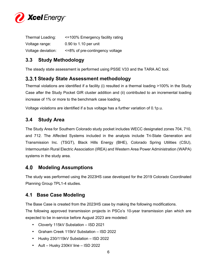

| Thermal Loading:   | <=100% Emergency facility rating |
|--------------------|----------------------------------|
| Voltage range:     | 0.90 to 1.10 per unit            |
| Voltage deviation: | <=8% of pre-contingency voltage  |

## **3.3 Study Methodology**

The steady state assessment is performed using PSSE V33 and the TARA AC tool.

## **Steady State Assessment methodology**

Thermal violations are identified if a facility (i) resulted in a thermal loading >100% in the Study Case after the Study Pocket GIR cluster addition and (ii) contributed to an incremental loading increase of 1% or more to the benchmark case loading.

Voltage violations are identified if a bus voltage has a further variation of 0.1p.u.

## **3.4 Study Area**

The Study Area for Southern Colorado study pocket includes WECC designated zones 704, 710, and 712. The Affected Systems included in the analysis include Tri-State Generation and Transmission Inc. (TSGT), Black Hills Energy (BHE), Colorado Spring Utilities (CSU), Intermountain Rural Electric Association (IREA) and Western Area Power Administration (WAPA) systems in the study area.

## **Modeling Assumptions**

The study was performed using the 2023HS case developed for the 2019 Colorado Coordinated Planning Group TPL1-4 studies.

## **4.1 Base Case Modeling**

The Base Case is created from the 2023HS case by making the following modifications.

The following approved transmission projects in PSCo's 10-year transmission plan which are expected to be in-service before August 2023 are modeled:

- Cloverly 115kV Substation ISD 2021
- Graham Creek 115kV Substation ISD 2022
- Husky 230/115kV Substation ISD 2022
- Ault Husky 230kV line ISD 2022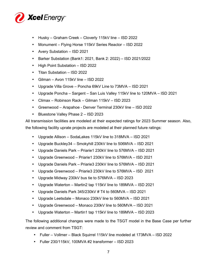

- Husky Graham Creek Cloverly 115kV line ISD 2022
- Monument Flying Horse 115kV Series Reactor ISD 2022
- Avery Substation ISD 2021
- Barker Substation (Bank1: 2021, Bank 2: 2022) ISD 2021/2022
- High Point Substation ISD 2022
- Titan Substation ISD 2022
- Gilman Avon 115kV line ISD 2022
- Upgrade Villa Grove Poncha 69kV Line to 73MVA ISD 2021
- Upgrade Poncha Sargent San Luis Valley 115kV line to 120MVA ISD 2021
- Climax Robinson Rack Gilman 115kV ISD 2023
- Greenwood Arapahoe Denver Terminal 230kV line ISD 2022
- Bluestone Valley Phase 2 ISD 2023

All transmission facilities are modeled at their expected ratings for 2023 Summer season. Also, the following facility uprate projects are modeled at their planned future ratings:

- Upgrade Allison SodaLakes 115kV line to 318MVA ISD 2021
- Upgrade Buckley34 Smokyhill 230kV line to 506MVA ISD 2021
- Upgrade Daniels Park Priarie1 230kV line to 576MVA ISD 2021
- Upgrade Greenwood Priarie1 230kV line to 576MVA ISD 2021
- Upgrade Daniels Park Priarie3 230kV line to 576MVA ISD 2021
- Upgrade Greenwood Priarie3 230kV line to 576MVA ISD 2021
- Upgrade Midway 230kV bus tie to 576MVA ISD 2023
- Upgrade Waterton Martin2 tap 115kV line to 189MVA ISD 2021
- Upgrade Daniels Park 345/230kV # T4 to 560MVA ISD 2021
- Upgrade Leetsdale Monaco 230kV line to 560MVA ISD 2021
- Upgrade Greenwood Monaco 230kV line to 560MVA ISD 2021
- Upgrade Waterton Martin1 tap 115kV line to 189MVA ISD 2023

The following additional changes were made to the TSGT model in the Base Case per further review and comment from TSGT:

- Fuller Vollmer Black Squirrel 115kV line modeled at 173MVA ISD 2022
- Fuller 230/115kV, 100MVA #2 transformer ISD 2023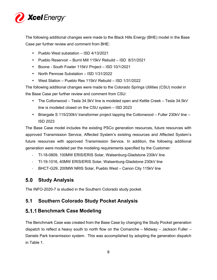

The following additional changes were made to the Black Hills Energy (BHE) model in the Base Case per further review and comment from BHE:

- Pueblo West substation ISD 4/13/2021
- Pueblo Reservoir Burnt Mill 115kV Rebuild ISD 8/31/2021
- Boone South Fowler 115kV Project ISD 10/1/2021
- North Penrose Substation ISD 1/31/2022
- West Station Pueblo Res 115kV Rebuild ISD 1/31/2022

The following additional changes were made to the Colorado Springs Utilities (CSU) model in the Base Case per further review and comment from CSU:

- The Cottonwood Tesla 34.5kV line is modeled open and Kettle Creek Tesla 34.5kV line is modeled closed on the CSU system – ISD 2023
- Briargate S 115/230kV transformer project tapping the Cottonwood Fuller 230kV line ISD 2023

The Base Case model includes the existing PSCo generation resources, future resources with approved Transmission Service, Affected System's existing resources and Affected System's future resources with approved Transmission Service. In addition, the following additional generation were modeled per the modeling requirements specified by the Customer:

- TI-18-0809, 100MW ERIS/ERIS Solar, Walsenburg-Gladstone 230kV line
- TI-19-1016, 40MW ERIS/ERIS Solar, Walsenburg-Gladstone 230kV line
- BHCT-G29, 200MW NRIS Solar, Pueblo West Canon City 115kV line

## **Study Analysis**

The INFO-2020-7 is studied in the Southern Colorado study pocket.

## **5.1 Southern Colorado Study Pocket Analysis**

## **Benchmark Case Modeling**

The Benchmark Case was created from the Base Case by changing the Study Pocket generation dispatch to reflect a heavy south to north flow on the Comanche – Midway – Jackson Fuller – Daniels Park transmission system. This was accomplished by adopting the generation dispatch in Table 1.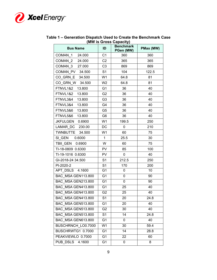

|                           |                | $\frac{1}{2}$                 |           |
|---------------------------|----------------|-------------------------------|-----------|
| <b>Bus Name</b>           | ID             | <b>Benchmark</b><br>PGen (MW) | PMax (MW) |
| COMAN 1 24.000            | C <sub>1</sub> | 360                           | 360       |
| COMAN 2 24.000            | C <sub>2</sub> | 365                           | 365       |
| COMAN 3 27.000            | C <sub>3</sub> | 869                           | 869       |
| COMAN PV 34.500           | S <sub>1</sub> | 104                           | 122.5     |
| CO GRN E 34.500           | W <sub>1</sub> | 64.8                          | 81        |
| CO GRN W 34.500           | W <sub>2</sub> | 64.8                          | 81        |
| FTNVL1&2<br>13.800        | G <sub>1</sub> | 36                            | 40        |
| FTNVL1&2<br>13.800        | G <sub>2</sub> | 36                            | 40        |
| FTNVL3&4<br>13.800        | G <sub>3</sub> | 36                            | 40        |
| FTNVL3&4 13.800           | G4             | 36                            | 40        |
| FTNVL5&6<br>13.800        | G <sub>5</sub> | 36                            | 40        |
| FTNVL5&6<br>13.800        | G6             | 36                            | 40        |
| JKFULGEN 0.6900           | W <sub>1</sub> | 199.5                         | 250       |
| LAMAR DC 230.00           | DC             | 0                             | 210       |
| TWNBUTTE 34.500           | W <sub>1</sub> | 60                            | 75        |
| SI GEN   0.6000           | $\mathbf{1}$   | 25.5                          | 30        |
| TBII_GEN  0.6900          | W              | 60                            | 75        |
| TI-18-0809 0.6300         | <b>PV</b>      | 85                            | 100       |
| TI-19-1016 0.6300         | <b>PV</b>      | $\pmb{0}$                     | 40        |
| GI-2018-24 34.500         | S <sub>1</sub> | 212.5                         | 250       |
| PI-2020-2                 | S <sub>1</sub> | 170                           | 200       |
| APT DSLS 4.1600           | G1             | 0                             | 10        |
| BAC MSA GEN113.800        | G <sub>1</sub> | 0                             | 90        |
| BAC MSA GEN213.800        | G <sub>1</sub> | 0                             | 90        |
| BAC MSA GEN413.800        | G <sub>1</sub> | 25                            | 40        |
| BAC MSA GEN413.800        | G <sub>2</sub> | 25                            | 40        |
| BAC MSA GEN413.800        | S <sub>1</sub> | 20                            | 24.8      |
| BAC_MSA GEN513.800        | G <sub>1</sub> | 20                            | 40        |
| BAC MSA GEN513.800        | G <sub>2</sub> | 30                            | 40        |
| <b>BAC MSA GEN513.800</b> | S1             | 14                            | 24.8      |
| BAC MSA GEN613.800        | G <sub>1</sub> | 0                             | 40        |
| BUSCHRNCH LO0.7000        | W1             | 30                            | 59.4      |
| BUSCHRWTG1 0.7000         | G <sub>1</sub> | 14                            | 28.8      |
| PEAKVIEWLO 0.7000         | G <sub>1</sub> | 22                            | 60        |
| PUB DSLS<br>4.1600        | G1             | 0                             | 8         |

#### **Table 1 – Generation Dispatch Used to Create the Benchmark Case (MW is Gross Capacity)**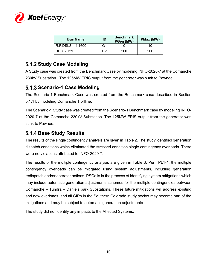

| <b>Bus Name</b> | ID | <b>Benchmark</b><br>PGen (MW) | PMax (MW) |
|-----------------|----|-------------------------------|-----------|
| R.F.DSLS 4.1600 | G1 |                               | 10        |
| BHCT-G29        | PV | 200                           | 200       |

## **Study Case Modeling**

A Study case was created from the Benchmark Case by modeling INFO-2020-7 at the Comanche 230kV Substation. The 125MW ERIS output from the generator was sunk to Pawnee.

## **Scenario-1 Case Modeling**

The Scenario-1 Benchmark Case was created from the Benchmark case described in Section 5.1.1 by modeling Comanche 1 offline.

The Scenario-1 Study case was created from the Scenario-1 Benchmark case by modeling INFO-2020-7 at the Comanche 230kV Substation. The 125MW ERIS output from the generator was sunk to Pawnee.

## **Base Study Results**

The results of the single contingency analysis are given in Table 2. The study identified generation dispatch conditions which eliminated the stressed condition single contingency overloads. There were no violations attributed to INFO-2020-7.

The results of the multiple contingency analysis are given in Table 3. Per TPL1-4, the multiple contingency overloads can be mitigated using system adjustments, including generation redispatch and/or operator actions. PSCo is in the process of identifying system mitigations which may include automatic generation adjustments schemes for the multiple contingencies between Comanche – Tundra – Daniels park Substations. These future mitigations will address existing and new overloads, and all GIRs in the Southern Colorado study pocket may become part of the mitigations and may be subject to automatic generation adjustments.

The study did not identify any impacts to the Affected Systems.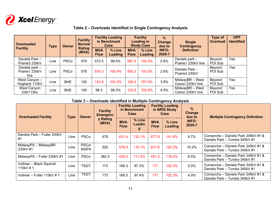

**Overloaded Facility Type Owner Facility Normal Rating (MVA) Facility Loading in Benchmark Case % Line Facility Loading in Study Case % Line % Change due to INFO-2020-7 Single Contingency Definition Type of OverloadOPF IdentifiedMVA Flow Loading MVA Flow Loading**Daniels Park – Prairie3 230kV Prairie3 230kV Line PSCo 576 572.5 99.4% 587.5 102.0% 2.6% Daniels park – Prairie1 230kV line Beyond POI Sub Yes Daniels park – Prairie1 230kV line West Canyon – Line | PSCo | 576 | 578.3 | 100.4% | 593.3  $\begin{array}{|c|c|c|c|c|}\n\hline\n103.0\% & 2.6\% & \text{Daniels Park} - & \text{POL Sub} & \text{Yes}\n\end{array}$ Hogback 115kV Hogback 115kV Line BHE 120 123.8 103.2% 128.4 107.0% 3.8% MidwayBR – West Canon 230kV line Beyond POI Sub Yes West Canyon<br>230/115kv /est Canyon BHE 100 98.3 98.3% 102.8 4.5% MidwayBR – West Beyond |Yes<br>230/115kv Line BHE 100 98.3 98.3% 102.8 102.8% 4.5% Canon 230kV line POI Sub

### **Table 2 – Overloads identified in Single Contingency Analysis**

#### **Table 3 – Overloads identified in Multiple Contingency Analysis**

| <b>Overloaded Facility</b>           |      |                      | <b>Type</b>       |                           | <b>Owner</b>          | <b>Facility</b><br><b>Emergenc</b> |                   | <b>Facility Loading</b><br>in Benchmark<br>Case |                                                                      | <b>Facility Loading</b><br>in NRIS Study<br>Case | $\%$<br><b>Change</b><br>due to | <b>Multiple Contingency Definition</b> |
|--------------------------------------|------|----------------------|-------------------|---------------------------|-----------------------|------------------------------------|-------------------|-------------------------------------------------|----------------------------------------------------------------------|--------------------------------------------------|---------------------------------|----------------------------------------|
|                                      |      |                      | y Rating<br>(MVA) | <b>MVA</b><br><b>Flow</b> | % Line<br>Loadin<br>g | <b>MVA</b><br><b>Flow</b>          | % Line<br>Loading | <b>INFO-</b><br>2020-7                          |                                                                      |                                                  |                                 |                                        |
| Daniels Park - Fuller 230kV<br>#1    | Line | <b>PSCo</b>          | 478               | 631.4                     | 132.1%                | 677.8                              | 141.8%            | 9.7%                                            | Comanche – Daniels Park 345kV #1 &<br>Daniels Park – Tundra 345kV #1 |                                                  |                                 |                                        |
| MidwayPS - MidwayBR<br>230kV #1      | Line | PSCo/<br><b>WAPA</b> | 525               | 578.0                     | 110.1%                | 631.6                              | 120.3%            | 10.2%                                           | Comanche – Daniels Park 345kV #1 &<br>Daniels Park – Tundra 345kV #1 |                                                  |                                 |                                        |
| MidwayPS - Fuller 230kV #1           | Line | <b>PSCo</b>          | 382.4             | 426.4                     | 111.5%                | 451.2                              | 118.0%            | 6.5%                                            | Comanche – Daniels Park 345kV #1 &<br>Daniels Park - Tundra 345kV #1 |                                                  |                                 |                                        |
| Vollmer - Black Squirrel<br>115kV #1 | Line | <b>TSGT</b>          | 173               | 168.3                     | 97.3%                 | 177                                | 102.3%            | 5.0%                                            | Comanche – Daniels Park 345kV #1 &<br>Daniels Park – Tundra 345kV #1 |                                                  |                                 |                                        |
| Vollmer - Fuller 115kV #1            | Line | <b>TSGT</b>          | 173               | 168.5                     | 97.4%                 | 177                                | 102.3%            | 4.9%                                            | Comanche - Daniels Park 345kV #1 &<br>Daniels Park – Tundra 345kV #1 |                                                  |                                 |                                        |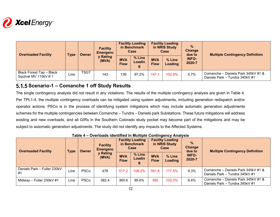

| <b>Overloaded Facility</b>                       | <b>Type</b> | Owner | <b>Facility</b><br><b>Emergenc</b><br>y Rating<br>(MVA) | <b>Facility Loading</b><br>in Benchmark<br>Case |                       | <b>Facility Loading</b><br>in NRIS Study<br>Case |                   | $\frac{9}{6}$<br>Change<br>due to | <b>Multiple Contingency Definition</b>                               |
|--------------------------------------------------|-------------|-------|---------------------------------------------------------|-------------------------------------------------|-----------------------|--------------------------------------------------|-------------------|-----------------------------------|----------------------------------------------------------------------|
|                                                  |             |       |                                                         | <b>MVA</b><br><b>Flow</b>                       | % Line<br>Loadin<br>g | <b>MVA</b><br><b>Flow</b>                        | % Line<br>Loading | <b>INFO-</b><br>2020-7            |                                                                      |
| Black Forest Tap - Black<br>Squirrel MV 115kV #1 | Line        | TSGT  | 143                                                     | 139                                             | 97.2%                 | 147.7                                            | 102.9%            | 5.7%                              | Comanche - Daniels Park 345kV #1 &<br>Daniels Park - Tundra 345kV #1 |

## **Scenario-1 – Comanche 1 off Study Results**

The single contingency analysis did not result in any violations. The results of the multiple contingency analysis are given in Table 4. Per TPL1-4, the multiple contingency overloads can be mitigated using system adjustments, including generation redispatch and/or operator actions. PSCo is in the process of identifying system mitigations which may include automatic generation adjustments schemes for the multiple contingencies between Comanche – Tundra – Daniels park Substations. These future mitigations will address existing and new overloads, and all GIRs in the Southern Colorado study pocket may become part of the mitigations and may be subject to automatic generation adjustments. The study did not identify any impacts to the Affected Systems.

| <b>Overloaded Facility</b>        | <b>Type</b> |             |                   |                           |                  | <b>Owner</b>              | <b>Facility</b><br><b>Emergenc</b> |                        | <b>Facility Loading</b><br>in Benchmark<br>Case                      |  | <b>Facility Loading</b><br>in NRIS Study<br>Case | $\%$<br>Change<br>due to | <b>Multiple Contingency Definition</b> |
|-----------------------------------|-------------|-------------|-------------------|---------------------------|------------------|---------------------------|------------------------------------|------------------------|----------------------------------------------------------------------|--|--------------------------------------------------|--------------------------|----------------------------------------|
|                                   |             |             | y Rating<br>(MVA) | <b>MVA</b><br><b>Flow</b> | % Line<br>Loadin | <b>MVA</b><br><b>Flow</b> | % Line<br>Loading                  | <b>INFO-</b><br>2020-7 |                                                                      |  |                                                  |                          |                                        |
| Daniels Park - Fuller 230kV<br>#1 | Line        | <b>PSCo</b> | 478               | 517.2                     | 108.2%           | 561.6                     | 117.5%                             | 9.3%                   | Comanche - Daniels Park 345kV #1 &<br>Daniels Park - Tundra 345kV #1 |  |                                                  |                          |                                        |
| Midway - Fuller 230kV #1          | Line        | <b>PSCo</b> | 382.4             | 365.6                     | 95.6%            | 390                       | 102.0%                             | 6.4%                   | Comanche - Daniels Park 345kV #1 &<br>Daniels Park - Tundra 345kV #1 |  |                                                  |                          |                                        |

### **Table 4 – Overloads identified in Multiple Contingency Analysis**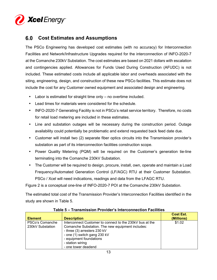

## **Cost Estimates and Assumptions**

The PSCo Engineering has developed cost estimates (with no accuracy) for Interconnection Facilities and Network/Infrastructure Upgrades required for the interconnection of INFO-2020-7 at the Comanche 230kV Substation. The cost estimates are based on 2021 dollars with escalation and contingencies applied. Allowances for Funds Used During Construction (AFUDC) is not included. These estimated costs include all applicable labor and overheads associated with the siting, engineering, design, and construction of these new PSCo facilities. This estimate does not include the cost for any Customer owned equipment and associated design and engineering.

- Labor is estimated for straight time only  $-$  no overtime included.
- Lead times for materials were considered for the schedule.
- INFO-2020-7 Generating Facility is not in PSCo's retail service territory. Therefore, no costs for retail load metering are included in these estimates.
- Line and substation outages will be necessary during the construction period. Outage availability could potentially be problematic and extend requested back feed date due.
- Customer will install two (2) separate fiber optics circuits into the Transmission provider's substation as part of its interconnection facilities construction scope.
- Power Quality Metering (PQM) will be required on the Customer's generation tie-line terminating into the Comanche 230kV Substation.
- The Customer will be required to design, procure, install, own, operate and maintain a Load Frequency/Automated Generation Control (LF/AGC) RTU at their Customer Substation. PSCo / Xcel will need indications, readings and data from the LFAGC RTU.

Figure 2 is a conceptual one-line of INFO-2020-7 POI at the Comanche 230kV Substation.

The estimated total cost of the Transmission Provider's Interconnection Facilities identified in the study are shown in Table 5.

| <b>Element</b>                      | <b>Description</b>                                                                                                                                                                                                          | <b>Cost Est.</b><br>(Millions) |
|-------------------------------------|-----------------------------------------------------------------------------------------------------------------------------------------------------------------------------------------------------------------------------|--------------------------------|
| PSCo's Comanche<br>230kV Substation | Interconnect Customer to connect to the 230kV bus at the<br>Comanche Substation. The new equipment includes:<br>- three (3) arresters 230 kV<br>- one (1) switch gang 230 kV<br>- equipment foundations<br>- station wiring | \$1.02                         |
|                                     | - one tower deadend                                                                                                                                                                                                         |                                |

 **Table 5 – Transmission Provider's Interconnection Facilities**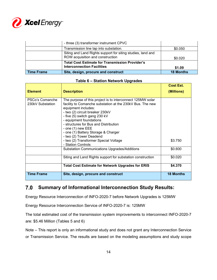

|                   | - three (3) transformer instrument CPVC                                                         |                  |
|-------------------|-------------------------------------------------------------------------------------------------|------------------|
|                   | Transmission line tap into substation.                                                          | \$0.050          |
|                   | Siting and Land Rights support for siting studies, land and<br>ROW acquisition and construction | \$0.020          |
|                   | <b>Total Cost Estimate for Transmission Provider's</b><br><b>Interconnection Facilities</b>     | \$1.09           |
| <b>Time Frame</b> | Site, design, procure and construct                                                             | <b>18 Months</b> |

#### **Table 6 – Station Network Upgrades**

|                                     |                                                                                                                                                                                                                                                                                                                                                                                                                          | Cost Est.        |
|-------------------------------------|--------------------------------------------------------------------------------------------------------------------------------------------------------------------------------------------------------------------------------------------------------------------------------------------------------------------------------------------------------------------------------------------------------------------------|------------------|
| <b>Element</b>                      | <b>Description</b>                                                                                                                                                                                                                                                                                                                                                                                                       | (Millions)       |
| PSCo's Comanche<br>230kV Substation | The purpose of this project is to interconnect 125MW solar<br>facility to Comanche substation at the 230kV Bus. The new<br>equipment includes:<br>- two (2) circuit breaker 230kV<br>- five (5) switch gang 230 kV<br>- equipment foundations<br>- structures for Bus and Distribution<br>- one $(1)$ new EEE<br>- one (1) Battery Storage & Charger<br>- two (2) Tower Deadend<br>- two (2) Transformer Special Voltage | \$3.750          |
|                                     | - Station Controls<br><b>Substation Communications Upgrades/Additions</b>                                                                                                                                                                                                                                                                                                                                                | \$0.600          |
|                                     | Siting and Land Rights support for substation construction                                                                                                                                                                                                                                                                                                                                                               | \$0.020          |
|                                     | <b>Total Cost Estimate for Network Upgrades for ERIS</b>                                                                                                                                                                                                                                                                                                                                                                 | \$4.370          |
| <b>Time Frame</b>                   | Site, design, procure and construct                                                                                                                                                                                                                                                                                                                                                                                      | <b>18 Months</b> |

## **Summary of Informational Interconnection Study Results:**

Energy Resource Interconnection of INFO-2020-7 before Network Upgrades is 125MW

Energy Resource Interconnection Service of INFO-2020-7 is: 125MW

The total estimated cost of the transmission system improvements to interconnect INFO-2020-7 are: \$5.46 Million (Tables 5 and 6)

Note – This report is only an informational study and does not grant any Interconnection Service or Transmission Service. The results are based on the modeling assumptions and study scope